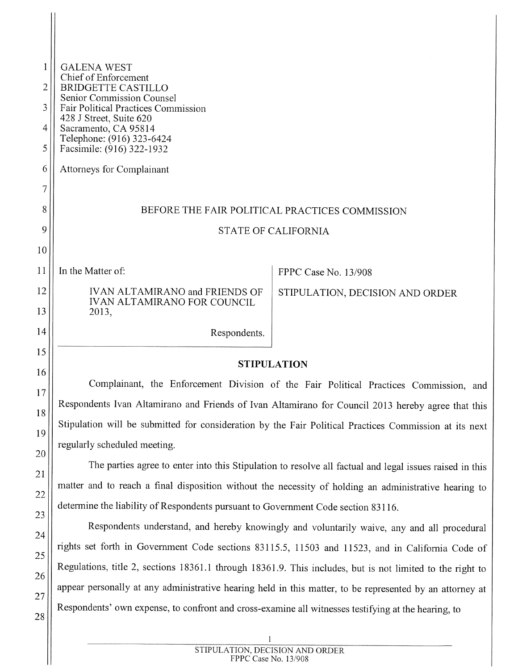| 1  | <b>GALENA WEST</b>                                                                                        |                                                                                       |  |  |  |  |
|----|-----------------------------------------------------------------------------------------------------------|---------------------------------------------------------------------------------------|--|--|--|--|
| 2  | Chief of Enforcement<br><b>BRIDGETTE CASTILLO</b>                                                         |                                                                                       |  |  |  |  |
| 3  | Senior Commission Counsel<br>Fair Political Practices Commission                                          |                                                                                       |  |  |  |  |
| 4  | 428 J Street, Suite 620<br>Sacramento, CA 95814<br>Telephone: (916) 323-6424<br>Facsimile: (916) 322-1932 |                                                                                       |  |  |  |  |
| 5  |                                                                                                           |                                                                                       |  |  |  |  |
| 6  | Attorneys for Complainant                                                                                 |                                                                                       |  |  |  |  |
| 7  |                                                                                                           |                                                                                       |  |  |  |  |
| 8  | BEFORE THE FAIR POLITICAL PRACTICES COMMISSION                                                            |                                                                                       |  |  |  |  |
| 9  | <b>STATE OF CALIFORNIA</b>                                                                                |                                                                                       |  |  |  |  |
| 10 |                                                                                                           |                                                                                       |  |  |  |  |
| 11 | In the Matter of:                                                                                         | FPPC Case No. 13/908                                                                  |  |  |  |  |
| 12 | <b>IVAN ALTAMIRANO and FRIENDS OF</b>                                                                     | STIPULATION, DECISION AND ORDER                                                       |  |  |  |  |
| 13 | <b>IVAN ALTAMIRANO FOR COUNCIL</b><br>2013,                                                               |                                                                                       |  |  |  |  |
| 14 | Respondents.                                                                                              |                                                                                       |  |  |  |  |
| 15 |                                                                                                           |                                                                                       |  |  |  |  |
| 16 | <b>STIPULATION</b>                                                                                        |                                                                                       |  |  |  |  |
| 17 |                                                                                                           | Complainant, the Enforcement Division of the Fair Political Practices Commission, and |  |  |  |  |
| 18 | Respondents Ivan Altamirano and Friends of Ivan Altamirano for Council 2013 hereby agree that this        |                                                                                       |  |  |  |  |
| 19 | Stipulation will be submitted for consideration by the Fair Political Practices Commission at its next    |                                                                                       |  |  |  |  |
|    | regularly scheduled meeting.                                                                              |                                                                                       |  |  |  |  |

The parties agree to enter into this Stipulation to resolve all factual and legal issues raised in this matter and to reach <sup>a</sup> final disposition without the necessity of holding an administrative hearing to determine the liability of Respondents pursuant to Government Code section 83116.

20

 $\begin{array}{c} \hline \end{array}$ 

21

22

23

24

25

26

27

28

Respondents understand, and hereby knowingly and voluntarily waive, any and all procedural rights set forth in Government Code sections <sup>831</sup> 15.5, <sup>11503</sup> and 11523, and in California Code of Regulations, title 2, sections 18361.1 through 18361.9. This includes, but is not limited to the right to appear personally at any administrative hearing held in this matter, to be represented by an attorney at Respondents' own expense, to confront and cross-examine all witnesses testifying at the hearing, to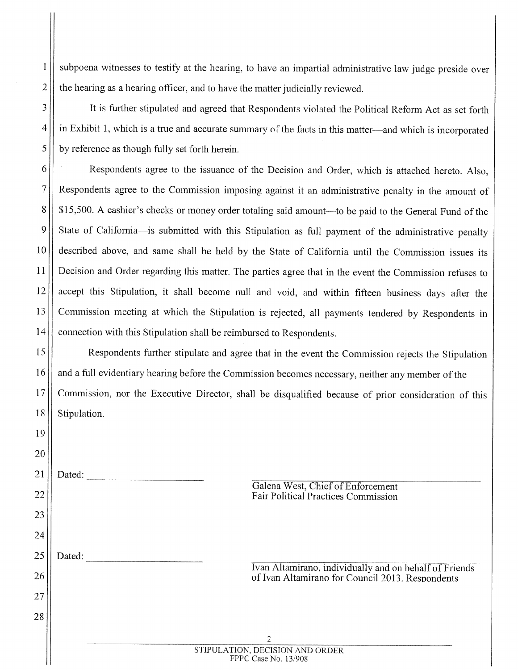$1 \parallel$  subpoena witnesses to testify at the hearing, to have an impartial administrative law judge preside over  $2 \parallel$  the hearing as a hearing officer, and to have the matter judicially reviewed.

3 | It is further stipulated and agreed that Respondents violated the Political Reform Act as set forth <sup>4</sup> in Exhibit 1, which is <sup>a</sup> true and accurate summary of the facts in this matter—and which is incorporated  $5 \parallel$  by reference as though fully set forth herein.

 Respondents agree to the issuance of the Decision and Order, which is attached hereto. Also, Respondents agree to the Commission imposing against it an administrative penalty in the amount of 8. 815,500. A cashier's checks or money order totaling said amount—to be paid to the General Fund of the State of California—is submitted with this Stipulation as full payment of the administrative penalty described above, and same shall be held by the State of California until the Commission issues its Decision and Order regarding this matter. The parties agree that in the event the Commission refuses to accept this Stipulation, it shall become null and void, and within fifteen business days after the Commission meeting at which the Stipulation is rejected, all payments tendered by Respondents in 14 | connection with this Stipulation shall be reimbursed to Respondents.

<sup>15</sup> Respondents further stipulate and agree that in the event the Commission rejects the Stipulation 16 || and a full evidentiary hearing before the Commission becomes necessary, neither any member of the <sup>17</sup> Commission, nor the Executive Director, shall be disqualified because of prior consideration of this 18 | Stipulation.

| 19 |                                                                                                            |
|----|------------------------------------------------------------------------------------------------------------|
| 20 |                                                                                                            |
| 21 | Dated:                                                                                                     |
| 22 | Galena West, Chief of Enforcement<br><b>Fair Political Practices Commission</b>                            |
| 23 |                                                                                                            |
| 24 |                                                                                                            |
| 25 | Dated:                                                                                                     |
| 26 | Ivan Altamirano, individually and on behalf of Friends<br>of Ivan Altamirano for Council 2013, Respondents |
| 27 |                                                                                                            |
| 28 |                                                                                                            |
|    | $\overline{2}$                                                                                             |
|    | STIPULATION, DECISION AND ORDER<br>FPPC Case No. 13/908                                                    |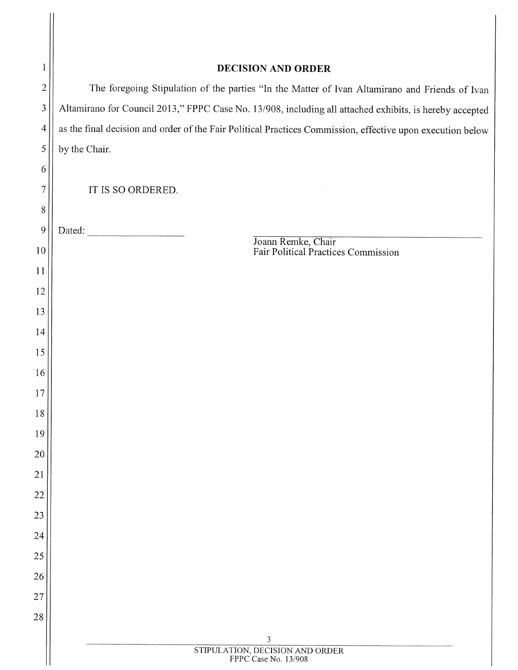| 1                     | <b>DECISION AND ORDER</b>                                                                                  |  |  |  |  |  |
|-----------------------|------------------------------------------------------------------------------------------------------------|--|--|--|--|--|
| $\overline{c}$        | The foregoing Stipulation of the parties "In the Matter of Ivan Altamirano and Friends of Ivan             |  |  |  |  |  |
| 3                     | Altamirano for Council 2013," FPPC Case No. 13/908, including all attached exhibits, is hereby accepted    |  |  |  |  |  |
| $\overline{4}$        | as the final decision and order of the Fair Political Practices Commission, effective upon execution below |  |  |  |  |  |
| 5                     | by the Chair.                                                                                              |  |  |  |  |  |
| 6                     |                                                                                                            |  |  |  |  |  |
| 7                     | IT IS SO ORDERED.                                                                                          |  |  |  |  |  |
| $8\,$                 |                                                                                                            |  |  |  |  |  |
| 9                     | Joann Remke, Chair<br>Fair Political Practices Commission                                                  |  |  |  |  |  |
| 10                    |                                                                                                            |  |  |  |  |  |
| 11                    |                                                                                                            |  |  |  |  |  |
| 12                    |                                                                                                            |  |  |  |  |  |
| 13                    |                                                                                                            |  |  |  |  |  |
| 14                    |                                                                                                            |  |  |  |  |  |
| 15                    |                                                                                                            |  |  |  |  |  |
| 16                    |                                                                                                            |  |  |  |  |  |
| 17                    |                                                                                                            |  |  |  |  |  |
| 18                    |                                                                                                            |  |  |  |  |  |
| 19                    |                                                                                                            |  |  |  |  |  |
| 20<br>$\overline{21}$ |                                                                                                            |  |  |  |  |  |
|                       |                                                                                                            |  |  |  |  |  |
| 22<br>23              |                                                                                                            |  |  |  |  |  |
| 24                    |                                                                                                            |  |  |  |  |  |
| 25                    |                                                                                                            |  |  |  |  |  |
| 26                    |                                                                                                            |  |  |  |  |  |
| 27                    |                                                                                                            |  |  |  |  |  |
| 28                    |                                                                                                            |  |  |  |  |  |
|                       |                                                                                                            |  |  |  |  |  |
|                       | 3<br>STIPULATION, DECISION AND ORDER<br>FPPC Case No. 13/908                                               |  |  |  |  |  |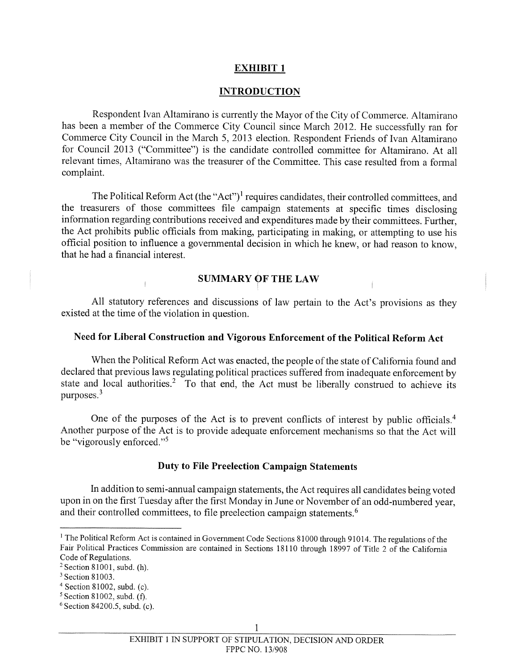### EXHIBIT <sup>1</sup>

#### INTRODUCTION

Respondent Ivan Altamirano is currently the Mayor of the City of Commerce. Altamirano has been a member of the Commerce City Council since March 2012. He successfully ran for Commerce City Council in the March 5, 2013 election. Respondent Friends of Ivan Altamirano for Council 2013 ("Committee") is the candidate controlled committee for Altamirano. At all relevant times, Altamirano was the treasurer of the Committee. This case resulted from a formal complaint.

The Political Reform Act (the "Act")<sup>1</sup> requires candidates, their controlled committees, and the treasurers of those committees file campaign statements at specific times disclosing information regarding contributions received and expenditures made by their committees. Further, the Act prohibits public officials from making, participating in making, or attempting to use his official position to influence a governmental decision in which he knew, or had reason to know, that he had a financial interest.

## SUMMARY Of THE LAW

All statutory references and discussions of law pertain to the Act's provisions as they existed at the time of the violation in question.

### Need for Liberal Construction and Vigorous Enforcement of the Political Reform Act

When the Political Reform Act was enacted, the people of the state of California found and declared that previous laws regulating political practices suffered from inadequate enforcement by state and local authorities.<sup>2</sup> To that end, the Act must be liberally construed to achieve its purposes.3

One of the purposes of the Act is to prevent conflicts of interest by public officials.<sup>4</sup> Another purpose of the Act is to provide adequate enforcement mechanisms so that the Act will be "vigorously enforced."5

### Duty to File Preelection Campaign Statements

In addition to semi-annual campaign statements, the Act requires all candidates being voted upon in on the first Tuesday after the first Monday in June or November of an odd-numbered year, and their controlled committees, to file preelection campaign statements.<sup>6</sup>

<sup>&</sup>lt;sup>1</sup> The Political Reform Act is contained in Government Code Sections 81000 through 91014. The regulations of the Fair Political Practices Commission are contained in Sections 18110 through 18997 of Title <sup>2</sup> of the California Code of Regulations.

 $2$  Section 81001, subd. (h).

<sup>&</sup>lt;sup>3</sup> Section 81003.

 $4$  Section 81002, subd. (c).

 $5$  Section 81002, subd. (f).

 $6$  Section 84200.5, subd. (c).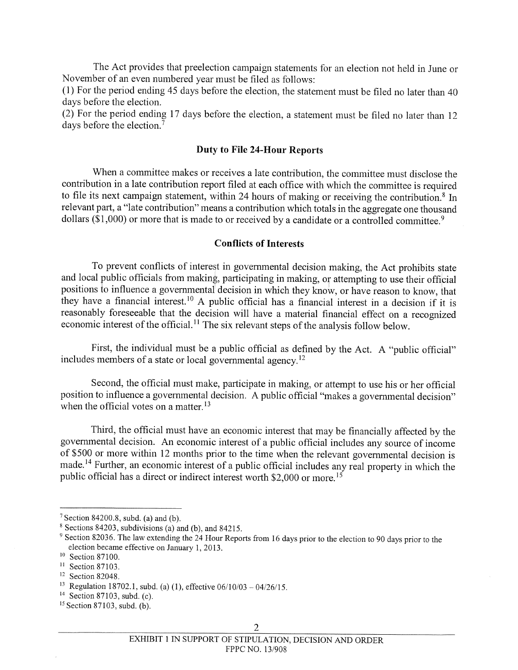The Act provides that preelection campaign statements for an election not held in June or November of an even numbered year must be filed as follows:

(1) For the period ending 45 days before the election, the statement must be filed no later than 40 days before the election.

(2) For the period ending 17 days before the election, <sup>a</sup> statement must be filed no later than 12 days before the election.<sup>7</sup>

#### Duty to file 24-Hour Reports

When <sup>a</sup> committee makes or receives <sup>a</sup> late contribution, the committee must disclose the contribution in <sup>a</sup> late contribution report filed at each office with which the committee is required to file its next campaign statement, within 24 hours of making or receiving the contribution.<sup>8</sup> In relevant part, <sup>a</sup> "late contribution" means <sup>a</sup> contribution which totals in the aggregate one thousand dollars  $(\$1,000)$  or more that is made to or received by a candidate or a controlled committee.<sup>9</sup>

### Conflicts of Interests

To prevent conflicts of interest in governmental decision making, the Act prohibits state and local public officials from making, participating in making, or attempting to use their official positions to influence a governmental decision in which they know, or have reason to know, that they have <sup>a</sup> financial interest.10 <sup>A</sup> public official has <sup>a</sup> financial interest in <sup>a</sup> decision if it is reasonably foreseeable that the decision will have <sup>a</sup> material financial effect on <sup>a</sup> recognized economic interest of the official.<sup>11</sup> The six relevant steps of the analysis follow below.

First, the individual must be <sup>a</sup> public official as defined by the Act. <sup>A</sup> "public official" includes members of a state or local governmental agency.<sup>12</sup>

Second, the official must make, participate in making, or attempt to use his or her official position to influence <sup>a</sup> governmental decision. <sup>A</sup> public official "makes <sup>a</sup> governmental decision" when the official votes on a matter.<sup>13</sup>

Third, the official must have an economic interest that may be financially affected by the governmental decision. An economic interest of <sup>a</sup> public official includes any source of income of \$500 or more within <sup>12</sup> months prior to the time when the relevant governmental decision is made.'4 Further, an economic interest of <sup>a</sup> public official includes any real property in which the public official has a direct or indirect interest worth \$2,000 or more.<sup>15</sup>

<sup>&</sup>lt;sup>7</sup> Section 84200.8, subd. (a) and (b).

 $8$  Sections 84203, subdivisions (a) and (b), and 84215.

<sup>&</sup>lt;sup>9</sup> Section 82036. The law extending the 24 Hour Reports from 16 days prior to the election to 90 days prior to the election became effective on January 1, 2013.<br><sup>10</sup> Section 87100.

<sup>&</sup>lt;sup>11</sup> Section 87103.

<sup>&</sup>lt;sup>12</sup> Section 82048.<br><sup>13</sup> Regulation 18702.1, subd. (a) (1), effective 06/10/03 – 04/26/15.

<sup>14</sup> Section 87103. subd. (c).

 $15$  Section 87103, subd. (b).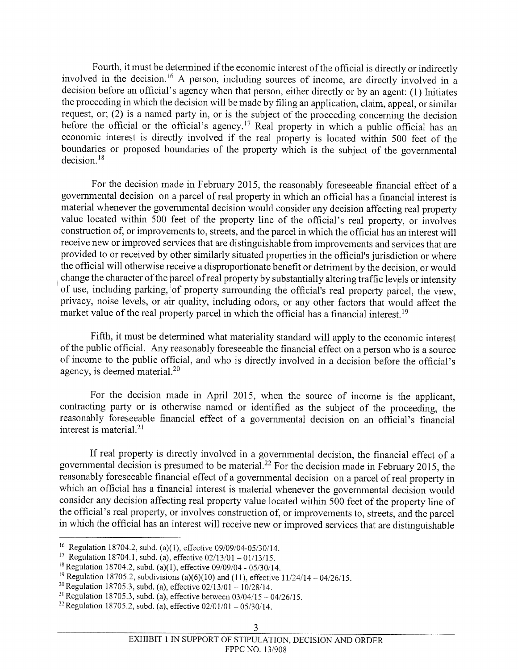Fourth, it must be determined if the economic interest of the official is directly or indirectly involved in the decision.16 <sup>A</sup> person, including sources of income, are directly involved in <sup>a</sup> decision before an official's agency when that person, either directly or by an agent: (I) Initiates the proceeding in which the decision will be made by filing an application, claim, appeal, or similar request, or; (2) is <sup>a</sup> named party in, or is the subject of the proceeding concerning the decision before the official or the official's agency.<sup>17</sup> Real property in which a public official has an economic interest is directly involved if the real property is located within <sup>500</sup> feet of the boundaries or proposed boundaries of the property which is the subject of the governmental  $decision.<sup>18</sup>$ 

For the decision made in February 2015, the reasonably foreseeable financial effect of <sup>a</sup> governmental decision on <sup>a</sup> parcel of real property in which an official has <sup>a</sup> financial interest is material whenever the governmental decision would consider any decision affecting real property value located within <sup>500</sup> feet of the property line of the official's real property, or involves construction of, or improvements to, streets, and the parcel in which the official has an interest will receive new or improved services that are distinguishable from improvements and services that are provided to or received by other similarly situated properties in the official's jurisdiction or where the official will otherwise receive <sup>a</sup> disproportionate benefit or detriment by the decision, or would change the character of the parcel of real property by substantially altering traffic levels or intensity of use, including parking, of property surrounding the official's real property parcel, the view, privacy, noise levels, or air quality, including odors, or any other factors that would affect the market value of the real property parcel in which the official has a financial interest.<sup>19</sup>

fifth, it must be determined what materiality standard will apply to the economic interest ofthe public official. Any reasonably foreseeable the financial effect on <sup>a</sup> person who is <sup>a</sup> source of income to the public official, and who is directly involved in <sup>a</sup> decision before the official's agency, is deemed material.<sup>20</sup>

For the decision made in April 2015, when the source of income is the applicant, contracting party or is otherwise named or identified as the subject of the proceeding, the reasonably foreseeable financial effect of <sup>a</sup> governmental decision on an official's financial interest is material.2'

If real property is directly involved in <sup>a</sup> governmental decision, the financial effect of <sup>a</sup> governmental decision is presumed to be material.<sup>22</sup> For the decision made in February 2015, the reasonably foreseeable financial effect of <sup>a</sup> governmental decision on <sup>a</sup> parcel ofreal property in which an official has <sup>a</sup> financial interest is material whenever the governmental decision would consider any decision affecting real property value located within <sup>500</sup> feet of the property line of the official's real property, or involves construction of, or improvements to, streets, and the parcel in which the official has an interest will receive new or improved services that are distinguishable

<sup>&</sup>lt;sup>16</sup> Regulation 18704.2, subd. (a)(1), effective 09/09/04-05/30/14.<br><sup>17</sup> Regulation 18704.1, subd. (a), effective 02/13/01 – 01/13/15.

<sup>&</sup>lt;sup>18</sup> Regulation 18704.2, subd. (a)(1), effective  $09/09/04 - 05/30/14$ .

<sup>&</sup>lt;sup>19</sup> Regulation 18705.2, subdivisions (a)(6)(10) and (11), effective  $11/24/14 - 04/26/15$ .

<sup>&</sup>lt;sup>20</sup> Regulation 18705.3, subd. (a), effective  $02/13/01 - 10/28/14$ .

<sup>&</sup>lt;sup>21</sup> Regulation 18705.3, subd. (a), effective between  $03/04/15 - 04/26/15$ .

<sup>&</sup>lt;sup>22</sup> Regulation 18705.2, subd. (a), effective  $02/01/01 - 05/30/14$ .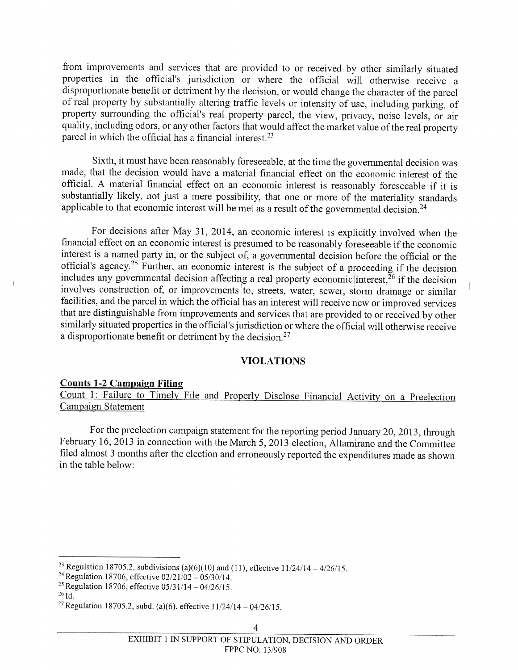from improvements and services that are provided to or received by other similarly situated properties in the official's jurisdiction or where the official will otherwise receive <sup>a</sup> disproportionate benefit or detriment by the decision, or would change the character of the parcel of real property by substantially altering traffic levels or intensity of use, including parking, of property surrounding the official's real property parcel, the view, privacy, noise levels, or air quality, including odors, or any other factors that would affect the market value of the real property parcel in which the official has <sup>a</sup> financial interest.23

Sixth, it must have been reasonably foreseeable, at the time the governmental decision was made, that the decision would have <sup>a</sup> material financial effect on the economic interest of the official. <sup>A</sup> material financial effect on an economic interest is reasonably foreseeable if it is substantially likely, not just <sup>a</sup> mere possibility, that one or more of the materiality standards applicable to that economic interest will be met as a result of the governmental decision.<sup>24</sup>

For decisions after May 31, 2014, an economic interest is explicitly involved when the financial effect on an economic interest is presumed to be reasonably foreseeable if the economic interest is <sup>a</sup> named party in, or the subject of, <sup>a</sup> governmental decision before the official or the official's agency.<sup>25</sup> Further, an economic interest is the subject of a proceeding if the decision includes any governmental decision affecting a real property economic interest,  $\frac{1}{26}$  if the decision involves construction of, or improvements to, streets, water, sewer, storm drainage or similar facilities, and the parcel in which the official has an interest will receive new or improved services that are distinguishable from improvements and services that are provided to or received by other similarly situated properties in the official's jurisdiction or where the official will otherwise receive a disproportionate benefit or detriment by the decision.<sup>27</sup>

### VIOLATIONS

#### Counts 1-2 Campaign Filing

Count 1: failure to Timely File and Properly Disclose Financial Activity on <sup>a</sup> Preelection

For the preelection campaign statement for the reporting period January 20, 2013, through february 16, <sup>2013</sup> in connection with the March 5, <sup>2013</sup> election, Altamirano and the Committee filed almost <sup>3</sup> months after the election and erroneously reported the expenditures made as shown in the table below:

<sup>&</sup>lt;sup>23</sup> Regulation 18705.2, subdivisions (a)(6)(10) and (11), effective  $11/24/14 - 4/26/15$ .

<sup>&</sup>lt;sup>24</sup> Regulation 18706, effective  $02/21/02 - 05/30/14$ .

<sup>&</sup>lt;sup>25</sup> Regulation 18706, effective  $05/31/14 - 04/26/15$ .

 $^{26}$ Id.

<sup>&</sup>lt;sup>27</sup> Regulation 18705.2, subd. (a)(6), effective  $11/24/14 - 04/26/15$ .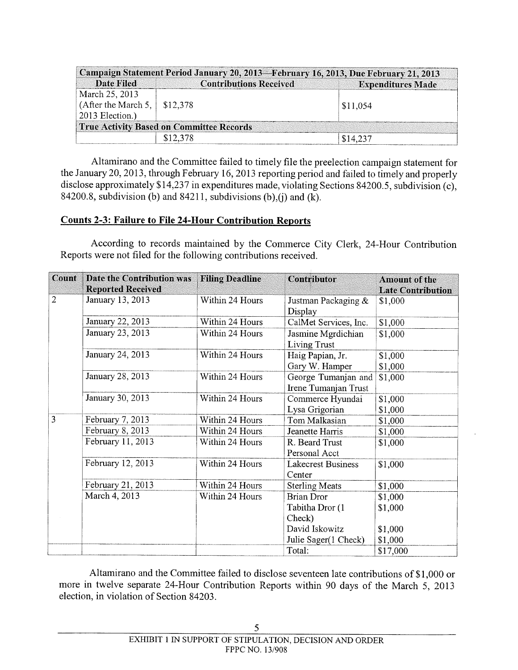| Campaign Statement Period January 20, 2013-February 16, 2013, Due February 21, 2013 |                                                 |                          |  |  |  |  |
|-------------------------------------------------------------------------------------|-------------------------------------------------|--------------------------|--|--|--|--|
| <b>Date Filed</b>                                                                   | <b>Contributions Received</b>                   | <b>Expenditures Made</b> |  |  |  |  |
| March 25, 2013                                                                      |                                                 |                          |  |  |  |  |
| (After the March 5, $\vert$ \$12,378                                                |                                                 | \$11,054                 |  |  |  |  |
| 2013 Election.)                                                                     |                                                 |                          |  |  |  |  |
|                                                                                     | <b>True Activity Based on Committee Records</b> |                          |  |  |  |  |
|                                                                                     | \$12.378                                        | \$14.237                 |  |  |  |  |

Altamirano and the Committee failed to timely file the preelection campaign statement for the January 20, 2013, through february 16, 2013 reporting period and failed to timely and properly disclose approximately \$14,237 in expenditures made, violating Sections \$4200.5, subdivision (c), 84200.8, subdivision (b) and  $84211$ , subdivisions (b),(j) and (k).

# Counts 2-3: failure to File 24-Hour Contribution Reports

According to records maintained by the Commerce City Clerk, 24-Hour Contribution Reports were not filed for the following contributions received.

| Count          | Date the Contribution was | <b>Filing Deadline</b> | Contributor               | <b>Amount of the</b>     |
|----------------|---------------------------|------------------------|---------------------------|--------------------------|
|                | <b>Reported Received</b>  |                        |                           | <b>Late Contribution</b> |
| $\overline{2}$ | January 13, 2013          | Within 24 Hours        | Justman Packaging $&$     | \$1,000                  |
|                |                           |                        | Display                   |                          |
|                | January 22, 2013          | Within 24 Hours        | CalMet Services, Inc.     | \$1,000                  |
|                | January 23, 2013          | Within 24 Hours        | Jasmine Mgrdichian        | \$1,000                  |
|                |                           |                        | <b>Living Trust</b>       |                          |
|                | January 24, 2013          | Within 24 Hours        | Haig Papian, Jr.          | \$1,000                  |
|                |                           |                        | Gary W. Hamper            | \$1,000                  |
|                | January 28, 2013          | Within 24 Hours        | George Tumanjan and       | \$1,000                  |
|                |                           |                        | Irene Tumanjan Trust      |                          |
|                | January 30, 2013          | Within 24 Hours        | Commerce Hyundai          | \$1,000                  |
|                |                           |                        | Lysa Grigorian            | \$1,000                  |
| 3              | February 7, 2013          | Within 24 Hours        | Tom Malkasian             | \$1,000                  |
|                | February 8, 2013          | Within 24 Hours        | Jeanette Harris           | \$1,000                  |
|                | February 11, 2013         | Within 24 Hours        | R. Beard Trust            | \$1,000                  |
|                |                           |                        | Personal Acct             |                          |
|                | February 12, 2013         | Within 24 Hours        | <b>Lakecrest Business</b> | \$1,000                  |
|                |                           |                        | Center                    |                          |
|                | February 21, 2013         | Within 24 Hours        | <b>Sterling Meats</b>     | \$1,000                  |
|                | March 4, 2013             | Within 24 Hours        | <b>Brian Dror</b>         | \$1,000                  |
|                |                           |                        | Tabitha Dror (1           | \$1,000                  |
|                |                           |                        | Check)                    |                          |
|                |                           |                        | David Iskowitz            | \$1,000                  |
|                |                           |                        | Julie Sager(1 Check)      | \$1,000                  |
|                |                           |                        | Total:                    | \$17,000                 |

Altamirano and the Committee failed to disclose seventeen late contributions of \$1,000 or more in twelve separate 24-Hour Contribution Reports within 90 days of the March 5, 2013 election, in violation of Section \$4203.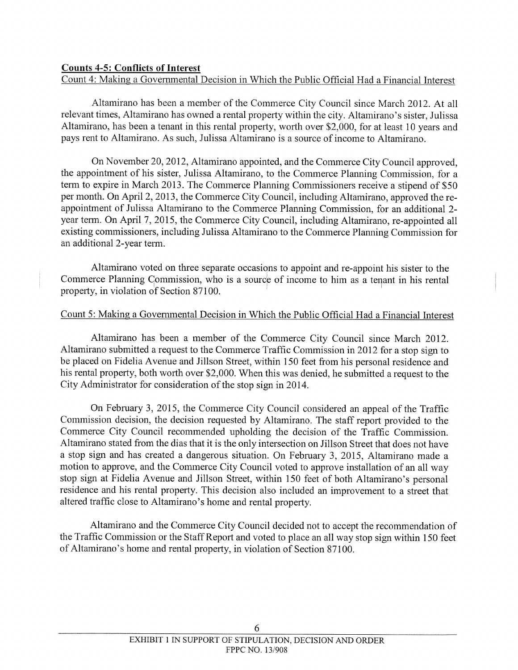# Counts 4-5: Conflicts of Interest

Count 4: Making a Governmental Decision in Which the Public Official Had a Financial Interest

Altamirano has been a member of the Commerce City Council since March 2012. At all relevant times, Altamirano has owned a rental property within the city. Altamirano's sister, Julissa Altamirano, has been a tenant in this rental property, worth over \$2,000, for at least 10 years and pays rent to Altamirano. As such, Julissa Altamirano is a source of income to Altamirano.

On November 20, 2012, Altamirano appointed, and the Commerce City Council approved, the appointment of his sister, Julissa Altamirano, to the Commerce Planning Commission, for a term to expire in March 2013. The Commerce Planning Commissioners receive a stipend of \$50 per month. On April 2, 2013, the Commerce City Council, including Altamirano, approved the re appointment of Julissa Altamirano to the Commerce Planning Commission, for an additional 2 year term. On April 7, 2015, the Commerce City Council, including Altamirano, re-appointed all existing commissioners, including Julissa Altamirano to the Commerce Planning Commission for an additional 2-year term.

Altamirano voted on three separate occasions to appoint and re-appoint his sister to the Commerce Planning Commission, who is a source of income to him as a tenant in his rental property, in violation of Section \$7100.

## Count 5: Making a Governmental Decision in Which the Public Official Had a Financial Interest

Altamirano has been a member of the Commerce City Council since March 2012. Altamirano submitted a request to the Commerce Traffic Commission in 2012 for a stop sign to be placed on Fidelia Avenue and Jillson Street, within 150 feet from his personal residence and his rental property, both worth over \$2,000. When this was denied, he submitted a request to the City Administrator for consideration of the stop sign in 2014.

On February 3, 2015, the Commerce City Council considered an appeal of the Traffic Commission decision, the decision requested by Altamirano. The staff report provided to the Commerce City Council recommended upholding the decision of the Traffic Commission. Altamirano stated from the dias that it is the only intersection on Jillson Street that does not have a stop sign and has created a dangerous situation. On February 3, 2015, Altamirano made a motion to approve, and the Commerce City Council voted to approve installation of an all way stop sign at Fidelia Avenue and Jillson Street, within 150 feet of both Altamirano's personal residence and his rental property. This decision also included an improvement to a street that altered traffic close to Altamirano's home and rental property.

Altamirano and the Commerce City Council decided not to accept the recommendation of the Traffic Commission or the StaffReport and voted to place an all way stop sign within 150 feet of Altamirano's home and rental property, in violation of Section \$7100.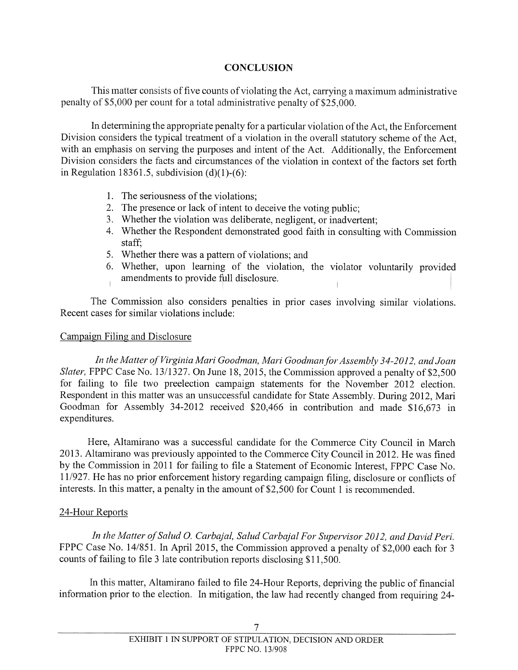# **CONCLUSION**

This matter consists of five counts of violating the Act, carrying a maximum administrative penalty of \$5,000 per count for a total administrative penalty of \$25,000.

In determining the appropriate penalty for a particular violation of the Act, the Enforcement Division considers the typical treatment of a violation in the overall statutory scheme of the Act, with an emphasis on serving the purposes and intent of the Act. Additionally, the Enforcement Division considers the facts and circumstances of the violation in context of the factors set forth in Regulation 18361.5, subdivision  $(d)(1)-(6)$ :

- 1. The seriousness of the violations;
- 2. The presence or lack of intent to deceive the voting public;
- 3. Whether the violation was deliberate, negligent, or inadvertent;
- 4. Whether the Respondent demonstrated good faith in consulting with Commission staff;
- 5. Whether there was a pattern of violations; and
- 6. Whether, upon learning of the violation, the violator voluntarily provided amendments to provide full disclosure

The Commission also considers penalties in prior cases involving similar violations. Recent cases for similar violations include:

## Campaign filing and Disclosure

In the Matter of Virginia Mari Goodman, Mari Goodman for Assembly 34-2012, and Joan Slater, FPPC Case No. 13/1327. On June 18, 2015, the Commission approved a penalty of \$2,500 for failing to file two preelection campaign statements for the November 2012 election. Respondent in this matter was an unsuccessful candidate for State Assembly. During 2012, Marl Goodman for Assembly 34-2012 received \$20,466 in contribution and made \$16,673 in expenditures.

Here, Altamirano was a successful candidate for the Commerce City Council in March 2013. Altamirano was previously appointed to the Commerce City Council in 2012. He was fined by the Commission in 2011 for failing to file a Statement of Economic Interest, fPPC Case No. 11/927. He has no prior enforcement history regarding campaign filing, disclosure or conflicts of interests. In this matter, a penalty in the amount of \$2,500 for Count <sup>1</sup> is recommended.

# 24-Hour Reports

In the Matter of Salud O. Carbajal, Salud Carbajal For Supervisor 2012, and David Peri. FPPC Case No. 14/851. In April 2015, the Commission approved a penalty of \$2,000 each for 3 counts of failing to file <sup>3</sup> late contribution reports disclosing \$11,500.

In this matter, Altamirano failed to file 24-Hour Reports, depriving the public of financial information prior to the election. In mitigation, the law had recently changed from requiring 24